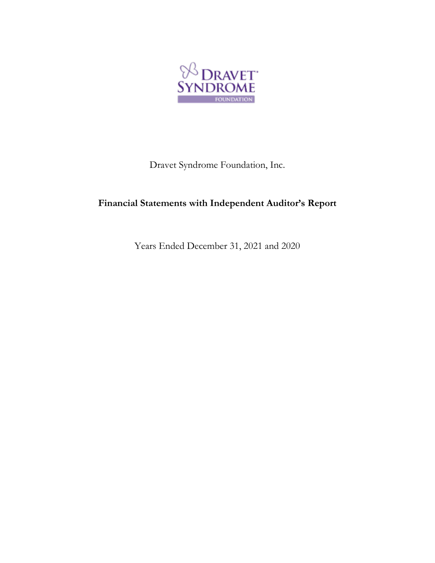

# **Financial Statements with Independent Auditor's Report**

Years Ended December 31, 2021 and 2020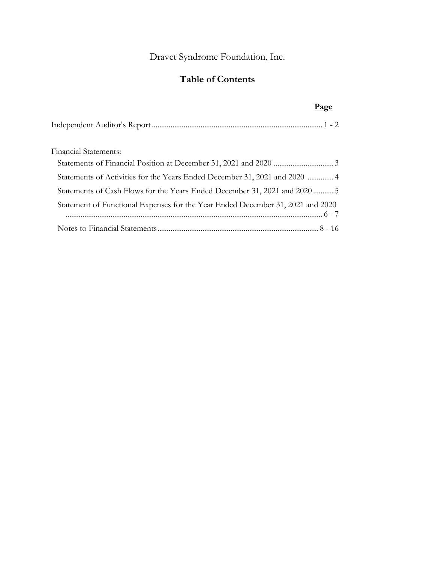# **Table of Contents**

# **Page** Independent Auditor's Report ........................................................................................... 1 - 2 Financial Statements: Statements of Financial Position at December 31, 2021 and 2020 ................................ 3 Statements of Activities for the Years Ended December 31, 2021 and 2020 .............. 4 Statements of Cash Flows for the Years Ended December 31, 2021 and 2020 ........... 5 Statement of Functional Expenses for the Year Ended December 31, 2021 and 2020 ......................................................................................................................................... 6 - 7 Notes to Financial Statements...................................................................................... 8 - 16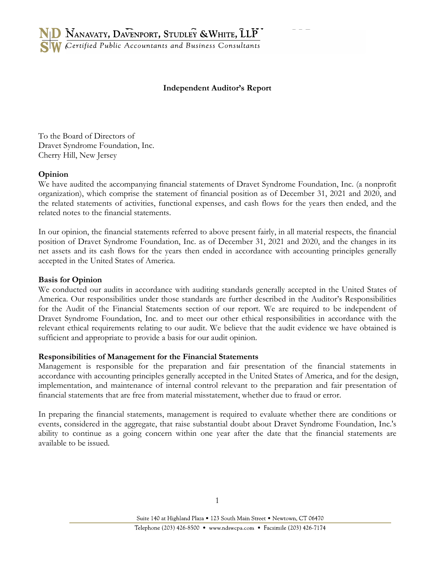N NANAVATY, DAVENPORT, STUDLEY & WHITE, LLP

#### **Independent Auditor's Report**

To the Board of Directors of Dravet Syndrome Foundation, Inc. Cherry Hill, New Jersey

#### **Opinion**

We have audited the accompanying financial statements of Dravet Syndrome Foundation, Inc. (a nonprofit organization), which comprise the statement of financial position as of December 31, 2021 and 2020, and the related statements of activities, functional expenses, and cash flows for the years then ended, and the related notes to the financial statements.

In our opinion, the financial statements referred to above present fairly, in all material respects, the financial position of Dravet Syndrome Foundation, Inc. as of December 31, 2021 and 2020, and the changes in its net assets and its cash flows for the years then ended in accordance with accounting principles generally accepted in the United States of America.

#### **Basis for Opinion**

We conducted our audits in accordance with auditing standards generally accepted in the United States of America. Our responsibilities under those standards are further described in the Auditor's Responsibilities for the Audit of the Financial Statements section of our report. We are required to be independent of Dravet Syndrome Foundation, Inc. and to meet our other ethical responsibilities in accordance with the relevant ethical requirements relating to our audit. We believe that the audit evidence we have obtained is sufficient and appropriate to provide a basis for our audit opinion.

#### **Responsibilities of Management for the Financial Statements**

Management is responsible for the preparation and fair presentation of the financial statements in accordance with accounting principles generally accepted in the United States of America, and for the design, implementation, and maintenance of internal control relevant to the preparation and fair presentation of financial statements that are free from material misstatement, whether due to fraud or error.

In preparing the financial statements, management is required to evaluate whether there are conditions or events, considered in the aggregate, that raise substantial doubt about Dravet Syndrome Foundation, Inc.'s ability to continue as a going concern within one year after the date that the financial statements are available to be issued.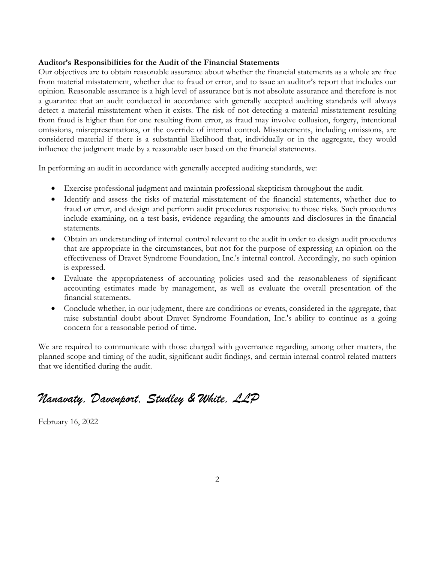#### **Auditor's Responsibilities for the Audit of the Financial Statements**

Our objectives are to obtain reasonable assurance about whether the financial statements as a whole are free from material misstatement, whether due to fraud or error, and to issue an auditor's report that includes our opinion. Reasonable assurance is a high level of assurance but is not absolute assurance and therefore is not a guarantee that an audit conducted in accordance with generally accepted auditing standards will always detect a material misstatement when it exists. The risk of not detecting a material misstatement resulting from fraud is higher than for one resulting from error, as fraud may involve collusion, forgery, intentional omissions, misrepresentations, or the override of internal control. Misstatements, including omissions, are considered material if there is a substantial likelihood that, individually or in the aggregate, they would influence the judgment made by a reasonable user based on the financial statements.

In performing an audit in accordance with generally accepted auditing standards, we:

- Exercise professional judgment and maintain professional skepticism throughout the audit.
- Identify and assess the risks of material misstatement of the financial statements, whether due to fraud or error, and design and perform audit procedures responsive to those risks. Such procedures include examining, on a test basis, evidence regarding the amounts and disclosures in the financial statements.
- Obtain an understanding of internal control relevant to the audit in order to design audit procedures that are appropriate in the circumstances, but not for the purpose of expressing an opinion on the effectiveness of Dravet Syndrome Foundation, Inc.'s internal control. Accordingly, no such opinion is expressed.
- Evaluate the appropriateness of accounting policies used and the reasonableness of significant accounting estimates made by management, as well as evaluate the overall presentation of the financial statements.
- Conclude whether, in our judgment, there are conditions or events, considered in the aggregate, that raise substantial doubt about Dravet Syndrome Foundation, Inc.'s ability to continue as a going concern for a reasonable period of time.

We are required to communicate with those charged with governance regarding, among other matters, the planned scope and timing of the audit, significant audit findings, and certain internal control related matters that we identified during the audit.

# *Nanavaty, Davenport, Studley & White, LLP*

February 16, 2022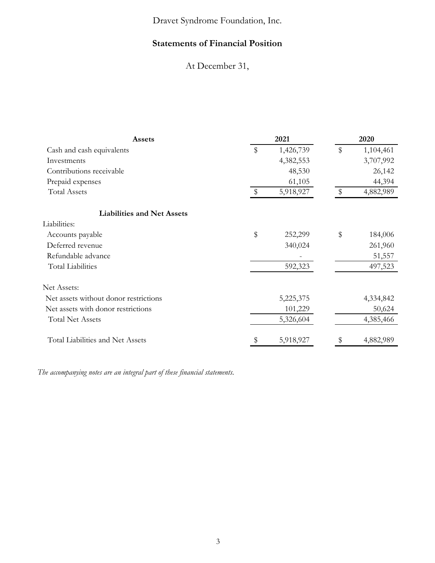# **Statements of Financial Position**

At December 31,

| <b>Assets</b>                           | 2021        |           |              | 2020      |  |  |
|-----------------------------------------|-------------|-----------|--------------|-----------|--|--|
| Cash and cash equivalents               | \$          | 1,426,739 | $\mathbb{S}$ | 1,104,461 |  |  |
| Investments                             |             | 4,382,553 |              | 3,707,992 |  |  |
| Contributions receivable                |             | 48,530    |              | 26,142    |  |  |
| Prepaid expenses                        |             | 61,105    |              | 44,394    |  |  |
| <b>Total Assets</b>                     | $\mathbb S$ | 5,918,927 | \$           | 4,882,989 |  |  |
| <b>Liabilities and Net Assets</b>       |             |           |              |           |  |  |
| Liabilities:                            |             |           |              |           |  |  |
| Accounts payable                        | \$          | 252,299   | \$           | 184,006   |  |  |
| Deferred revenue                        |             | 340,024   |              | 261,960   |  |  |
| Refundable advance                      |             |           |              | 51,557    |  |  |
| <b>Total Liabilities</b>                |             | 592,323   |              | 497,523   |  |  |
| Net Assets:                             |             |           |              |           |  |  |
| Net assets without donor restrictions   |             | 5,225,375 |              | 4,334,842 |  |  |
| Net assets with donor restrictions      |             | 101,229   |              | 50,624    |  |  |
| <b>Total Net Assets</b>                 |             | 5,326,604 |              | 4,385,466 |  |  |
| <b>Total Liabilities and Net Assets</b> |             | 5,918,927 |              | 4,882,989 |  |  |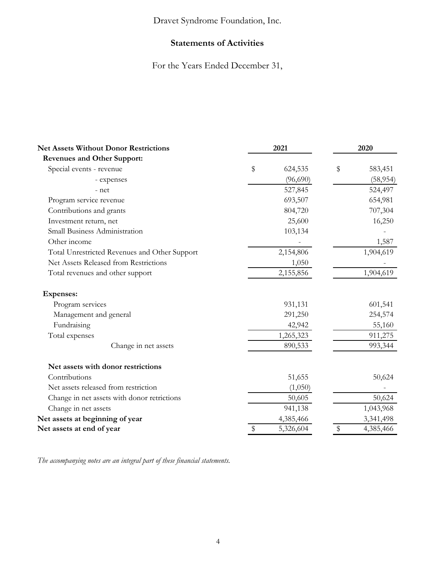# **Statements of Activities**

For the Years Ended December 31,

| <b>Net Assets Without Donor Restrictions</b>  | 2021            |           | 2020      |  |  |
|-----------------------------------------------|-----------------|-----------|-----------|--|--|
| <b>Revenues and Other Support:</b>            |                 |           |           |  |  |
| Special events - revenue                      | \$<br>624,535   | \$        | 583,451   |  |  |
| - expenses                                    | (96,690)        |           | (58, 954) |  |  |
| - net                                         | 527,845         |           | 524,497   |  |  |
| Program service revenue                       | 693,507         |           | 654,981   |  |  |
| Contributions and grants                      | 804,720         |           | 707,304   |  |  |
| Investment return, net                        | 25,600          |           | 16,250    |  |  |
| Small Business Administration                 | 103,134         |           |           |  |  |
| Other income                                  |                 |           | 1,587     |  |  |
| Total Unrestricted Revenues and Other Support | 2,154,806       |           | 1,904,619 |  |  |
| Net Assets Released from Restrictions         | 1,050           |           |           |  |  |
| Total revenues and other support              | 2,155,856       |           | 1,904,619 |  |  |
| <b>Expenses:</b>                              |                 |           |           |  |  |
| Program services                              | 931,131         |           | 601,541   |  |  |
| Management and general                        | 291,250         |           | 254,574   |  |  |
| Fundraising                                   | 42,942          | 55,160    |           |  |  |
| Total expenses                                | 1,265,323       |           | 911,275   |  |  |
| Change in net assets                          | 890,533         |           | 993,344   |  |  |
| Net assets with donor restrictions            |                 |           |           |  |  |
| Contributions                                 | 51,655          |           | 50,624    |  |  |
| Net assets released from restriction          | (1,050)         |           |           |  |  |
| Change in net assets with donor retrictions   | 50,605          |           | 50,624    |  |  |
| Change in net assets                          | 941,138         | 1,043,968 |           |  |  |
| Net assets at beginning of year               | 4,385,466       |           | 3,341,498 |  |  |
| Net assets at end of year                     | \$<br>5,326,604 | \$        | 4,385,466 |  |  |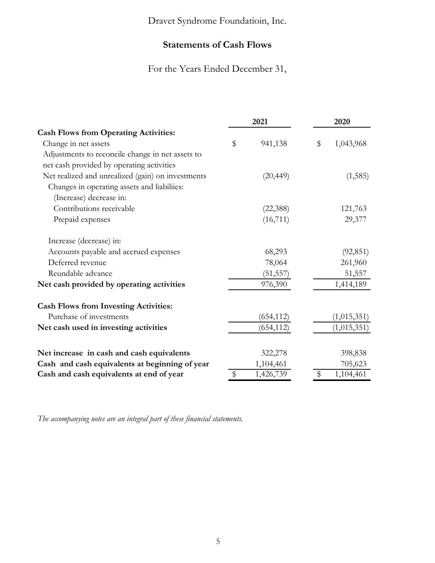# **Statements of Cash Flows**

# For the Years Ended December 31,

|                                                   |               | 2021       | 2020   |             |  |
|---------------------------------------------------|---------------|------------|--------|-------------|--|
| <b>Cash Flows from Operating Activities:</b>      |               |            |        |             |  |
| Change in net assets                              | \$            | 941,138    | \$     | 1,043,968   |  |
| Adjustments to reconcile change in net assets to  |               |            |        |             |  |
| net cash provided by operating activities         |               |            |        |             |  |
| Net realized and unrealized (gain) on investments |               | (20, 449)  |        | (1, 585)    |  |
| Changes in operating assets and liabiliies:       |               |            |        |             |  |
| (Increase) decrease in:                           |               |            |        |             |  |
| Contributions receivable                          |               | (22, 388)  |        | 121,763     |  |
| Prepaid expenses                                  |               | (16, 711)  |        | 29,377      |  |
| Increase (decrease) in:                           |               |            |        |             |  |
| Accounts payable and accrued expenses             |               | 68,293     |        | (92, 851)   |  |
| Deferred revenue                                  |               | 78,064     |        | 261,960     |  |
| Reundable advance                                 |               | (51, 557)  |        | 51,557      |  |
| Net cash provided by operating activities         |               | 976,390    |        | 1,414,189   |  |
| <b>Cash Flows from Investing Activities:</b>      |               |            |        |             |  |
| Purchase of investments                           |               | (654, 112) |        | (1,015,351) |  |
| Net cash used in investing activities             |               | (654, 112) |        | (1,015,351) |  |
| Net increase in cash and cash equivalents         |               | 322,278    |        | 398,838     |  |
| Cash and cash equivalents at beginning of year    |               | 1,104,461  |        | 705,623     |  |
| Cash and cash equivalents at end of year          | $\frac{1}{2}$ | 1,426,739  | $\$\,$ | 1,104,461   |  |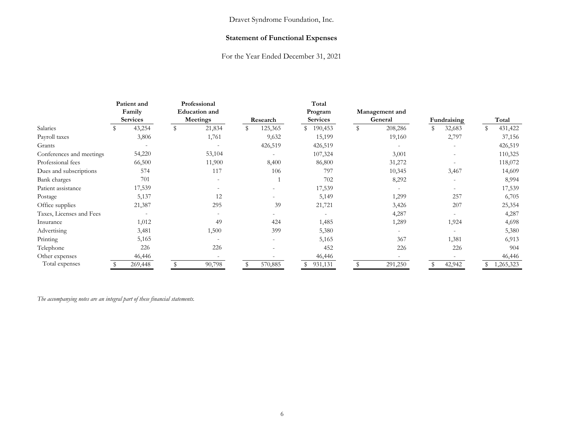#### **Statement of Functional Expenses**

For the Year Ended December 31, 2021

|                          |                                    | Patient and | Professional             |    |                          |    | Total   |    |                          |    |                          |    |           |
|--------------------------|------------------------------------|-------------|--------------------------|----|--------------------------|----|---------|----|--------------------------|----|--------------------------|----|-----------|
|                          |                                    | Family      | <b>Education</b> and     |    |                          |    | Program |    | Management and           |    |                          |    |           |
|                          | <b>Meetings</b><br><b>Services</b> |             | Research                 |    | <b>Services</b>          |    | General |    | Fundraising              |    | Total                    |    |           |
| Salaries                 |                                    | 43,254      | \$<br>21,834             | \$ | 125,365                  | \$ | 190,453 | \$ | 208,286                  | \$ | 32,683                   | \$ | 431,422   |
| Payroll taxes            |                                    | 3,806       | 1,761                    |    | 9,632                    |    | 15,199  |    | 19,160                   |    | 2,797                    |    | 37,156    |
| Grants                   |                                    |             |                          |    | 426,519                  |    | 426,519 |    |                          |    |                          |    | 426,519   |
| Conferences and meetings |                                    | 54,220      | 53,104                   |    |                          |    | 107,324 |    | 3,001                    |    |                          |    | 110,325   |
| Professional fees        |                                    | 66,500      | 11,900                   |    | 8,400                    |    | 86,800  |    | 31,272                   |    |                          |    | 118,072   |
| Dues and subscriptions   |                                    | 574         | 117                      |    | 106                      |    | 797     |    | 10,345                   |    | 3,467                    |    | 14,609    |
| Bank charges             |                                    | 701         | $\overline{\phantom{a}}$ |    |                          |    | 702     |    | 8,292                    |    | $\overline{\phantom{a}}$ |    | 8,994     |
| Patient assistance       |                                    | 17,539      | $\overline{\phantom{a}}$ |    | $\overline{\phantom{a}}$ |    | 17,539  |    |                          |    |                          |    | 17,539    |
| Postage                  |                                    | 5,137       | 12                       |    |                          |    | 5,149   |    | 1,299                    |    | 257                      |    | 6,705     |
| Office supplies          |                                    | 21,387      | 295                      |    | 39                       |    | 21,721  |    | 3,426                    |    | 207                      |    | 25,354    |
| Taxes, Licenses and Fees |                                    |             | $\overline{\phantom{a}}$ |    | $\overline{\phantom{a}}$ |    |         |    | 4,287                    |    | $\overline{\phantom{0}}$ |    | 4,287     |
| Insurance                |                                    | 1,012       | 49                       |    | 424                      |    | 1,485   |    | 1,289                    |    | 1,924                    |    | 4,698     |
| Advertising              |                                    | 3,481       | 1,500                    |    | 399                      |    | 5,380   |    | $\overline{\phantom{0}}$ |    |                          |    | 5,380     |
| Printing                 |                                    | 5,165       | $\overline{\phantom{a}}$ |    |                          |    | 5,165   |    | 367                      |    | 1,381                    |    | 6,913     |
| Telephone                |                                    | 226         | 226                      |    |                          |    | 452     |    | 226                      |    | 226                      |    | 904       |
| Other expenses           |                                    | 46,446      |                          |    |                          |    | 46,446  |    |                          |    |                          |    | 46,446    |
| Total expenses           |                                    | 269,448     | 90,798                   |    | 570,885                  |    | 931,131 |    | 291,250                  |    | 42,942                   |    | 1,265,323 |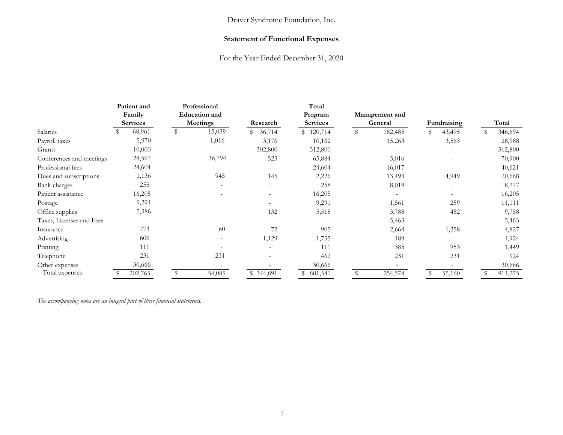#### **Statement of Functional Expenses**

For the Year Ended December 31, 2020

|                          |                           | Patient and |                                  | Professional             |                          | Total                      |                           |         |             |                          |       |         |
|--------------------------|---------------------------|-------------|----------------------------------|--------------------------|--------------------------|----------------------------|---------------------------|---------|-------------|--------------------------|-------|---------|
|                          | Family<br><b>Services</b> |             | <b>Education</b> and<br>Meetings |                          | Research                 | Program<br><b>Services</b> | Management and<br>General |         | Fundraising |                          | Total |         |
| Salaries                 |                           | 68,961      | \$                               | 15,039                   | \$<br>36,714             | \$120,714                  | \$                        | 182,485 | \$          | 43,495                   | \$    | 346,694 |
| Payroll taxes            |                           | 5,970       |                                  | 1,016                    | 3,176                    | 10,162                     |                           | 15,263  |             | 3,563                    |       | 28,988  |
| Grants                   |                           | 10,000      |                                  | $\overline{\phantom{a}}$ | 302,800                  | 312,800                    |                           |         |             |                          |       | 312,800 |
| Conferences and meetings |                           | 28,567      |                                  | 36,794                   | 523                      | 65,884                     |                           | 5,016   |             |                          |       | 70,900  |
| Professional fees        |                           | 24,604      |                                  | $\overline{\phantom{a}}$ | $\overline{\phantom{0}}$ | 24,604                     |                           | 16,017  |             |                          |       | 40,621  |
| Dues and subscriptions   |                           | 1,136       |                                  | 945                      | 145                      | 2,226                      |                           | 13,493  |             | 4,949                    |       | 20,668  |
| Bank charges             |                           | 258         |                                  | $\overline{\phantom{a}}$ | $\overline{\phantom{0}}$ | 258                        |                           | 8,019   |             | $\overline{\phantom{a}}$ |       | 8,277   |
| Patient assistance       |                           | 16,205      |                                  | $\overline{\phantom{a}}$ | $\blacksquare$           | 16,205                     |                           |         |             |                          |       | 16,205  |
| Postage                  |                           | 9,291       |                                  | $\overline{\phantom{a}}$ |                          | 9,291                      |                           | 1,561   |             | 259                      |       | 11,111  |
| Office supplies          |                           | 5,386       |                                  | $\overline{\phantom{a}}$ | 132                      | 5,518                      |                           | 3,788   |             | 452                      |       | 9,758   |
| Taxes, Licenses and Fees |                           |             |                                  |                          |                          | ٠                          |                           | 5,463   |             |                          |       | 5,463   |
| Insurance                |                           | 773         |                                  | 60                       | 72                       | 905                        |                           | 2,664   |             | 1,258                    |       | 4,827   |
| Advertising              |                           | 606         |                                  | $\overline{\phantom{a}}$ | 1,129                    | 1,735                      |                           | 189     |             |                          |       | 1,924   |
| Printing                 |                           | 111         |                                  |                          | ٠                        | 111                        |                           | 385     |             | 953                      |       | 1,449   |
| Telephone                |                           | 231         |                                  | 231                      |                          | 462                        |                           | 231     |             | 231                      |       | 924     |
| Other expenses           |                           | 30,666      |                                  |                          |                          | 30,666                     |                           |         |             |                          |       | 30,666  |
| Total expenses           |                           | 202,765     |                                  | 54,085                   | 344,691                  | 601,541                    |                           | 254,574 |             | 55,160                   |       | 911,275 |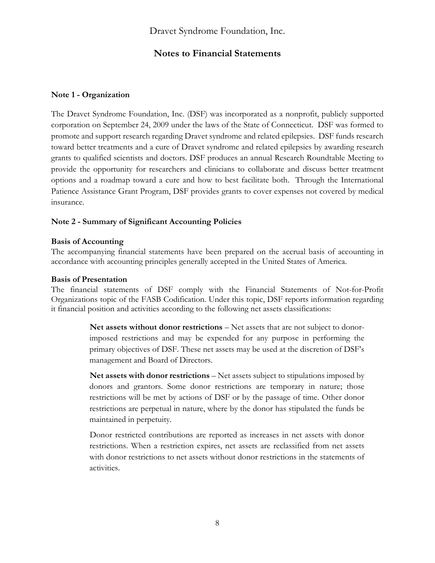#### **Note 1 - Organization**

The Dravet Syndrome Foundation, Inc. (DSF) was incorporated as a nonprofit, publicly supported corporation on September 24, 2009 under the laws of the State of Connecticut. DSF was formed to promote and support research regarding Dravet syndrome and related epilepsies. DSF funds research toward better treatments and a cure of Dravet syndrome and related epilepsies by awarding research grants to qualified scientists and doctors. DSF produces an annual Research Roundtable Meeting to provide the opportunity for researchers and clinicians to collaborate and discuss better treatment options and a roadmap toward a cure and how to best facilitate both. Through the International Patience Assistance Grant Program, DSF provides grants to cover expenses not covered by medical insurance.

#### **Note 2 - Summary of Significant Accounting Policies**

#### **Basis of Accounting**

The accompanying financial statements have been prepared on the accrual basis of accounting in accordance with accounting principles generally accepted in the United States of America.

#### **Basis of Presentation**

The financial statements of DSF comply with the Financial Statements of Not-for-Profit Organizations topic of the FASB Codification. Under this topic, DSF reports information regarding it financial position and activities according to the following net assets classifications:

> **Net assets without donor restrictions** – Net assets that are not subject to donorimposed restrictions and may be expended for any purpose in performing the primary objectives of DSF. These net assets may be used at the discretion of DSF's management and Board of Directors.

> **Net assets with donor restrictions** – Net assets subject to stipulations imposed by donors and grantors. Some donor restrictions are temporary in nature; those restrictions will be met by actions of DSF or by the passage of time. Other donor restrictions are perpetual in nature, where by the donor has stipulated the funds be maintained in perpetuity.

> Donor restricted contributions are reported as increases in net assets with donor restrictions. When a restriction expires, net assets are reclassified from net assets with donor restrictions to net assets without donor restrictions in the statements of activities.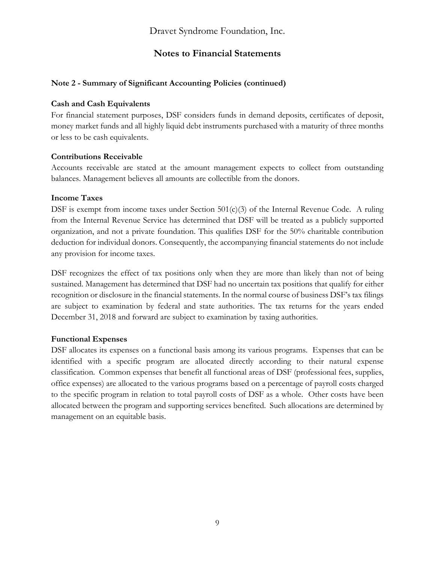# **Notes to Financial Statements**

#### **Note 2 - Summary of Significant Accounting Policies (continued)**

#### **Cash and Cash Equivalents**

For financial statement purposes, DSF considers funds in demand deposits, certificates of deposit, money market funds and all highly liquid debt instruments purchased with a maturity of three months or less to be cash equivalents.

#### **Contributions Receivable**

Accounts receivable are stated at the amount management expects to collect from outstanding balances. Management believes all amounts are collectible from the donors.

#### **Income Taxes**

DSF is exempt from income taxes under Section 501(c)(3) of the Internal Revenue Code. A ruling from the Internal Revenue Service has determined that DSF will be treated as a publicly supported organization, and not a private foundation. This qualifies DSF for the 50% charitable contribution deduction for individual donors. Consequently, the accompanying financial statements do not include any provision for income taxes.

DSF recognizes the effect of tax positions only when they are more than likely than not of being sustained. Management has determined that DSF had no uncertain tax positions that qualify for either recognition or disclosure in the financial statements. In the normal course of business DSF's tax filings are subject to examination by federal and state authorities. The tax returns for the years ended December 31, 2018 and forward are subject to examination by taxing authorities.

#### **Functional Expenses**

DSF allocates its expenses on a functional basis among its various programs. Expenses that can be identified with a specific program are allocated directly according to their natural expense classification. Common expenses that benefit all functional areas of DSF (professional fees, supplies, office expenses) are allocated to the various programs based on a percentage of payroll costs charged to the specific program in relation to total payroll costs of DSF as a whole. Other costs have been allocated between the program and supporting services benefited. Such allocations are determined by management on an equitable basis.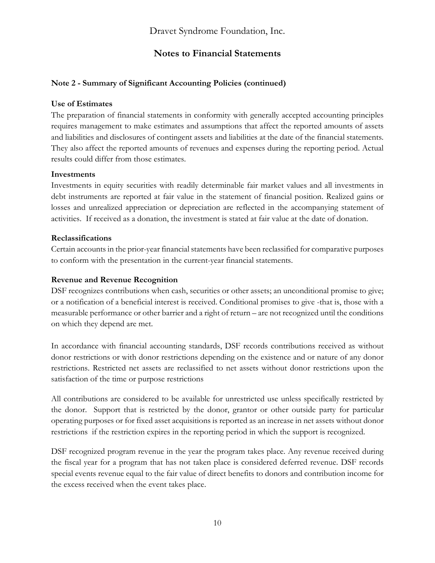## **Note 2 - Summary of Significant Accounting Policies (continued)**

### **Use of Estimates**

The preparation of financial statements in conformity with generally accepted accounting principles requires management to make estimates and assumptions that affect the reported amounts of assets and liabilities and disclosures of contingent assets and liabilities at the date of the financial statements. They also affect the reported amounts of revenues and expenses during the reporting period. Actual results could differ from those estimates.

### **Investments**

Investments in equity securities with readily determinable fair market values and all investments in debt instruments are reported at fair value in the statement of financial position. Realized gains or losses and unrealized appreciation or depreciation are reflected in the accompanying statement of activities. If received as a donation, the investment is stated at fair value at the date of donation.

## **Reclassifications**

Certain accounts in the prior-year financial statements have been reclassified for comparative purposes to conform with the presentation in the current-year financial statements.

## **Revenue and Revenue Recognition**

DSF recognizes contributions when cash, securities or other assets; an unconditional promise to give; or a notification of a beneficial interest is received. Conditional promises to give -that is, those with a measurable performance or other barrier and a right of return – are not recognized until the conditions on which they depend are met.

In accordance with financial accounting standards, DSF records contributions received as without donor restrictions or with donor restrictions depending on the existence and or nature of any donor restrictions. Restricted net assets are reclassified to net assets without donor restrictions upon the satisfaction of the time or purpose restrictions

All contributions are considered to be available for unrestricted use unless specifically restricted by the donor. Support that is restricted by the donor, grantor or other outside party for particular operating purposes or for fixed asset acquisitions is reported as an increase in net assets without donor restrictions if the restriction expires in the reporting period in which the support is recognized.

DSF recognized program revenue in the year the program takes place. Any revenue received during the fiscal year for a program that has not taken place is considered deferred revenue. DSF records special events revenue equal to the fair value of direct benefits to donors and contribution income for the excess received when the event takes place.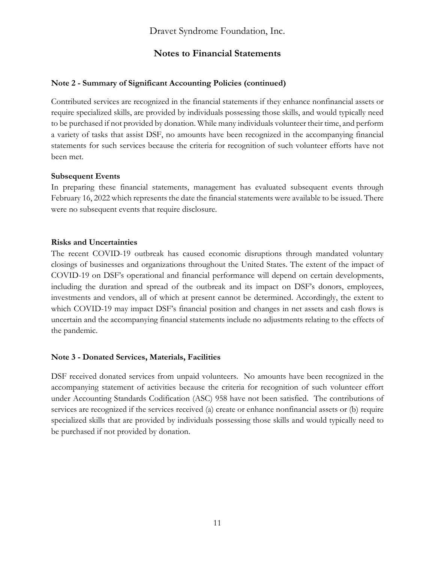#### **Note 2 - Summary of Significant Accounting Policies (continued)**

Contributed services are recognized in the financial statements if they enhance nonfinancial assets or require specialized skills, are provided by individuals possessing those skills, and would typically need to be purchased if not provided by donation. While many individuals volunteer their time, and perform a variety of tasks that assist DSF, no amounts have been recognized in the accompanying financial statements for such services because the criteria for recognition of such volunteer efforts have not been met.

#### **Subsequent Events**

In preparing these financial statements, management has evaluated subsequent events through February 16, 2022 which represents the date the financial statements were available to be issued. There were no subsequent events that require disclosure.

#### **Risks and Uncertainties**

The recent COVID-19 outbreak has caused economic disruptions through mandated voluntary closings of businesses and organizations throughout the United States. The extent of the impact of COVID-19 on DSF's operational and financial performance will depend on certain developments, including the duration and spread of the outbreak and its impact on DSF's donors, employees, investments and vendors, all of which at present cannot be determined. Accordingly, the extent to which COVID-19 may impact DSF's financial position and changes in net assets and cash flows is uncertain and the accompanying financial statements include no adjustments relating to the effects of the pandemic.

### **Note 3 - Donated Services, Materials, Facilities**

DSF received donated services from unpaid volunteers. No amounts have been recognized in the accompanying statement of activities because the criteria for recognition of such volunteer effort under Accounting Standards Codification (ASC) 958 have not been satisfied. The contributions of services are recognized if the services received (a) create or enhance nonfinancial assets or (b) require specialized skills that are provided by individuals possessing those skills and would typically need to be purchased if not provided by donation.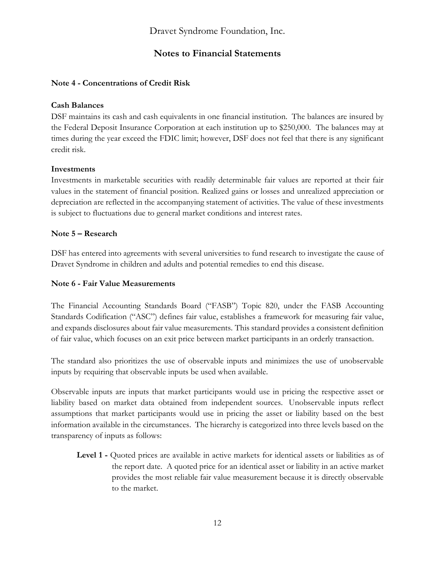## **Note 4 - Concentrations of Credit Risk**

## **Cash Balances**

DSF maintains its cash and cash equivalents in one financial institution. The balances are insured by the Federal Deposit Insurance Corporation at each institution up to \$250,000. The balances may at times during the year exceed the FDIC limit; however, DSF does not feel that there is any significant credit risk.

## **Investments**

Investments in marketable securities with readily determinable fair values are reported at their fair values in the statement of financial position. Realized gains or losses and unrealized appreciation or depreciation are reflected in the accompanying statement of activities. The value of these investments is subject to fluctuations due to general market conditions and interest rates.

## **Note 5 – Research**

DSF has entered into agreements with several universities to fund research to investigate the cause of Dravet Syndrome in children and adults and potential remedies to end this disease.

# **Note 6 - Fair Value Measurements**

The Financial Accounting Standards Board ("FASB") Topic 820, under the FASB Accounting Standards Codification ("ASC") defines fair value, establishes a framework for measuring fair value, and expands disclosures about fair value measurements. This standard provides a consistent definition of fair value, which focuses on an exit price between market participants in an orderly transaction.

The standard also prioritizes the use of observable inputs and minimizes the use of unobservable inputs by requiring that observable inputs be used when available.

Observable inputs are inputs that market participants would use in pricing the respective asset or liability based on market data obtained from independent sources. Unobservable inputs reflect assumptions that market participants would use in pricing the asset or liability based on the best information available in the circumstances. The hierarchy is categorized into three levels based on the transparency of inputs as follows:

**Level 1 -** Quoted prices are available in active markets for identical assets or liabilities as of the report date. A quoted price for an identical asset or liability in an active market provides the most reliable fair value measurement because it is directly observable to the market.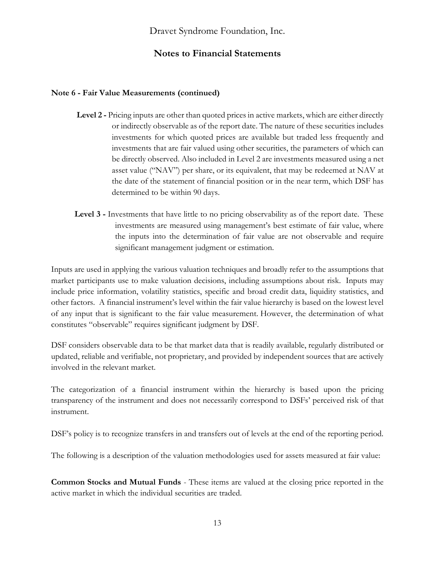# **Notes to Financial Statements**

#### **Note 6 - Fair Value Measurements (continued)**

- **Level 2 -** Pricing inputs are other than quoted prices in active markets, which are either directly or indirectly observable as of the report date. The nature of these securities includes investments for which quoted prices are available but traded less frequently and investments that are fair valued using other securities, the parameters of which can be directly observed. Also included in Level 2 are investments measured using a net asset value ("NAV") per share, or its equivalent, that may be redeemed at NAV at the date of the statement of financial position or in the near term, which DSF has determined to be within 90 days.
- **Level 3 -** Investments that have little to no pricing observability as of the report date. These investments are measured using management's best estimate of fair value, where the inputs into the determination of fair value are not observable and require significant management judgment or estimation.

Inputs are used in applying the various valuation techniques and broadly refer to the assumptions that market participants use to make valuation decisions, including assumptions about risk. Inputs may include price information, volatility statistics, specific and broad credit data, liquidity statistics, and other factors. A financial instrument's level within the fair value hierarchy is based on the lowest level of any input that is significant to the fair value measurement. However, the determination of what constitutes "observable" requires significant judgment by DSF.

DSF considers observable data to be that market data that is readily available, regularly distributed or updated, reliable and verifiable, not proprietary, and provided by independent sources that are actively involved in the relevant market.

The categorization of a financial instrument within the hierarchy is based upon the pricing transparency of the instrument and does not necessarily correspond to DSFs' perceived risk of that instrument.

DSF's policy is to recognize transfers in and transfers out of levels at the end of the reporting period.

The following is a description of the valuation methodologies used for assets measured at fair value:

**Common Stocks and Mutual Funds** - These items are valued at the closing price reported in the active market in which the individual securities are traded.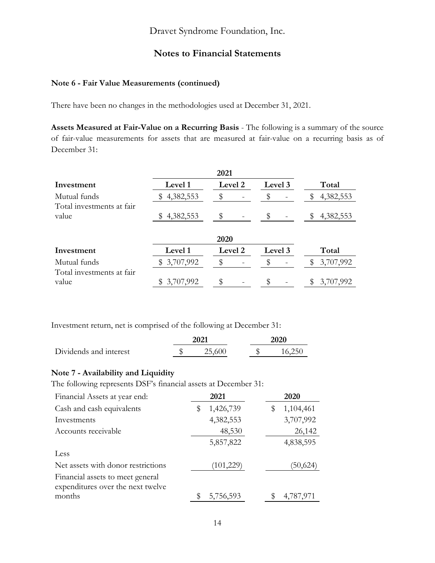#### **Note 6 - Fair Value Measurements (continued)**

There have been no changes in the methodologies used at December 31, 2021.

**Assets Measured at Fair-Value on a Recurring Basis** - The following is a summary of the source of fair-value measurements for assets that are measured at fair-value on a recurring basis as of December 31:

|                                    |                 | 2021    |         |                |
|------------------------------------|-----------------|---------|---------|----------------|
| Investment                         | Level 1         | Level 2 | Level 3 | Total          |
| Mutual funds                       | 4,382,553       | S       |         | 4,382,553      |
| Total investments at fair<br>value | 4,382,553<br>S. | \$      |         | 4,382,553      |
|                                    |                 | 2020    |         |                |
| Investment                         | Level 1         | Level 2 | Level 3 | Total          |
| Mutual funds                       | \$3,707,992     | \$      |         | 3,707,992      |
| Total investments at fair<br>value | 3,707,992<br>\$ | \$      | \$      | 3,707,992<br>S |

Investment return, net is comprised of the following at December 31:

|                        | 2021 |        |  | <b>2020</b> |  |  |  |
|------------------------|------|--------|--|-------------|--|--|--|
| Dividends and interest |      | 25,600 |  | 16,250      |  |  |  |

### **Note 7 - Availability and Liquidity**

The following represents DSF's financial assets at December 31:

| Financial Assets at year end:                                         | 2021            | 2020            |
|-----------------------------------------------------------------------|-----------------|-----------------|
| Cash and cash equivalents                                             | 1,426,739<br>\$ | 1,104,461<br>\$ |
| Investments                                                           | 4,382,553       | 3,707,992       |
| Accounts receivable                                                   | 48,530          | 26,142          |
|                                                                       | 5,857,822       | 4,838,595       |
| Less                                                                  |                 |                 |
| Net assets with donor restrictions                                    | (101, 229)      | (50, 624)       |
| Financial assets to meet general<br>expenditures over the next twelve |                 |                 |
| months                                                                | 5,756,593       | 4,787,971       |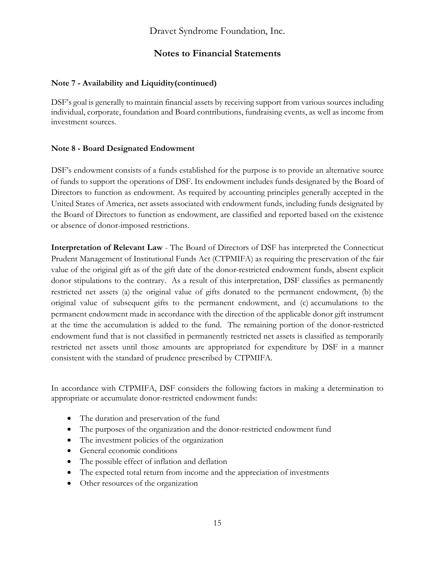## **Note 7 - Availability and Liquidity(continued)**

DSF's goal is generally to maintain financial assets by receiving support from various sources including individual, corporate, foundation and Board contributions, fundraising events, as well as income from investment sources.

# **Note 8 - Board Designated Endowment**

DSF's endowment consists of a funds established for the purpose is to provide an alternative source of funds to support the operations of DSF. Its endowment includes funds designated by the Board of Directors to function as endowment. As required by accounting principles generally accepted in the United States of America, net assets associated with endowment funds, including funds designated by the Board of Directors to function as endowment, are classified and reported based on the existence or absence of donor-imposed restrictions.

**Interpretation of Relevant Law** - The Board of Directors of DSF has interpreted the Connecticut Prudent Management of Institutional Funds Act (CTPMIFA) as requiring the preservation of the fair value of the original gift as of the gift date of the donor-restricted endowment funds, absent explicit donor stipulations to the contrary. As a result of this interpretation, DSF classifies as permanently restricted net assets (a) the original value of gifts donated to the permanent endowment, (b) the original value of subsequent gifts to the permanent endowment, and (c) accumulations to the permanent endowment made in accordance with the direction of the applicable donor gift instrument at the time the accumulation is added to the fund. The remaining portion of the donor-restricted endowment fund that is not classified in permanently restricted net assets is classified as temporarily restricted net assets until those amounts are appropriated for expenditure by DSF in a manner consistent with the standard of prudence prescribed by CTPMIFA.

In accordance with CTPMIFA, DSF considers the following factors in making a determination to appropriate or accumulate donor-restricted endowment funds:

- The duration and preservation of the fund
- The purposes of the organization and the donor-restricted endowment fund
- The investment policies of the organization
- General economic conditions
- The possible effect of inflation and deflation
- The expected total return from income and the appreciation of investments
- Other resources of the organization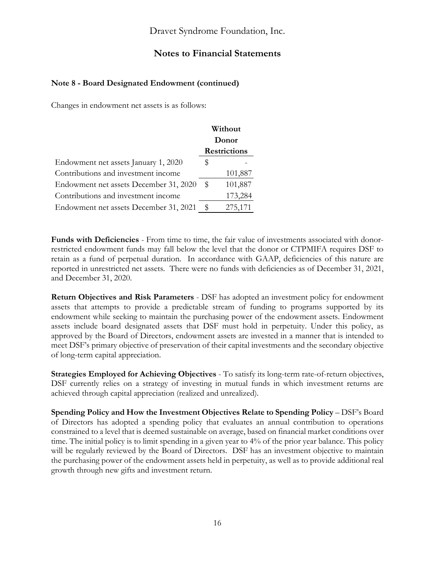#### **Note 8 - Board Designated Endowment (continued)**

Changes in endowment net assets is as follows:

|                                        | Without             |         |  |  |
|----------------------------------------|---------------------|---------|--|--|
|                                        | Donor               |         |  |  |
|                                        | <b>Restrictions</b> |         |  |  |
| Endowment net assets January 1, 2020   | \$                  |         |  |  |
| Contributions and investment income    |                     | 101,887 |  |  |
| Endowment net assets December 31, 2020 | \$                  | 101,887 |  |  |
| Contributions and investment income    |                     | 173,284 |  |  |
| Endowment net assets December 31, 2021 | S                   | 275,171 |  |  |

**Funds with Deficiencies** - From time to time, the fair value of investments associated with donorrestricted endowment funds may fall below the level that the donor or CTPMIFA requires DSF to retain as a fund of perpetual duration. In accordance with GAAP, deficiencies of this nature are reported in unrestricted net assets. There were no funds with deficiencies as of December 31, 2021, and December 31, 2020.

**Return Objectives and Risk Parameters** - DSF has adopted an investment policy for endowment assets that attempts to provide a predictable stream of funding to programs supported by its endowment while seeking to maintain the purchasing power of the endowment assets. Endowment assets include board designated assets that DSF must hold in perpetuity. Under this policy, as approved by the Board of Directors, endowment assets are invested in a manner that is intended to meet DSF's primary objective of preservation of their capital investments and the secondary objective of long-term capital appreciation.

**Strategies Employed for Achieving Objectives** - To satisfy its long-term rate-of-return objectives, DSF currently relies on a strategy of investing in mutual funds in which investment returns are achieved through capital appreciation (realized and unrealized).

**Spending Policy and How the Investment Objectives Relate to Spending Policy** – DSF's Board of Directors has adopted a spending policy that evaluates an annual contribution to operations constrained to a level that is deemed sustainable on average, based on financial market conditions over time. The initial policy is to limit spending in a given year to 4% of the prior year balance. This policy will be regularly reviewed by the Board of Directors. DSF has an investment objective to maintain the purchasing power of the endowment assets held in perpetuity, as well as to provide additional real growth through new gifts and investment return.